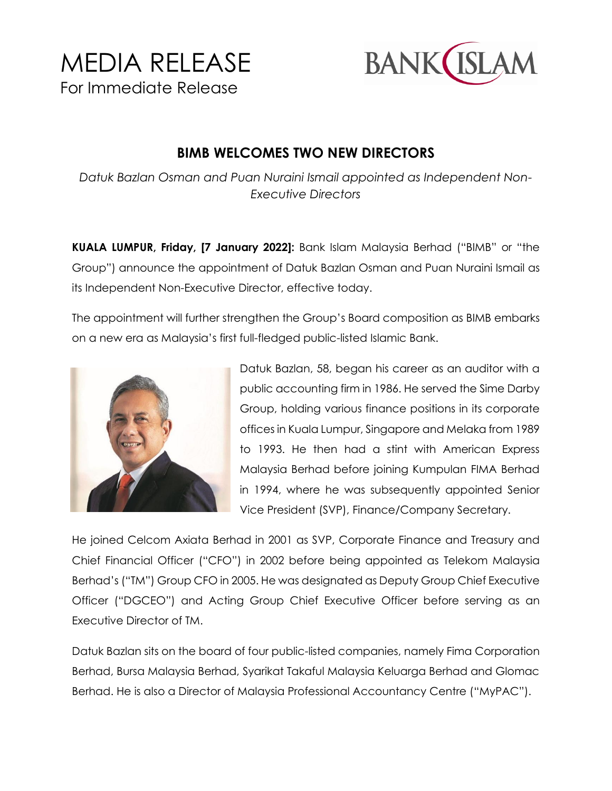



## **BIMB WELCOMES TWO NEW DIRECTORS**

*Datuk Bazlan Osman and Puan Nuraini Ismail appointed as Independent Non-Executive Directors*

**KUALA LUMPUR, Friday, [7 January 2022]:** Bank Islam Malaysia Berhad ("BIMB" or "the Group") announce the appointment of Datuk Bazlan Osman and Puan Nuraini Ismail as its Independent Non-Executive Director, effective today.

The appointment will further strengthen the Group's Board composition as BIMB embarks on a new era as Malaysia's first full-fledged public-listed Islamic Bank.



Datuk Bazlan, 58, began his career as an auditor with a public accounting firm in 1986. He served the Sime Darby Group, holding various finance positions in its corporate offices in Kuala Lumpur, Singapore and Melaka from 1989 to 1993. He then had a stint with American Express Malaysia Berhad before joining Kumpulan FIMA Berhad in 1994, where he was subsequently appointed Senior Vice President (SVP), Finance/Company Secretary.

He joined Celcom Axiata Berhad in 2001 as SVP, Corporate Finance and Treasury and Chief Financial Officer ("CFO") in 2002 before being appointed as Telekom Malaysia Berhad's ("TM") Group CFO in 2005. He was designated as Deputy Group Chief Executive Officer ("DGCEO") and Acting Group Chief Executive Officer before serving as an Executive Director of TM.

Datuk Bazlan sits on the board of four public-listed companies, namely Fima Corporation Berhad, Bursa Malaysia Berhad, Syarikat Takaful Malaysia Keluarga Berhad and Glomac Berhad. He is also a Director of Malaysia Professional Accountancy Centre ("MyPAC").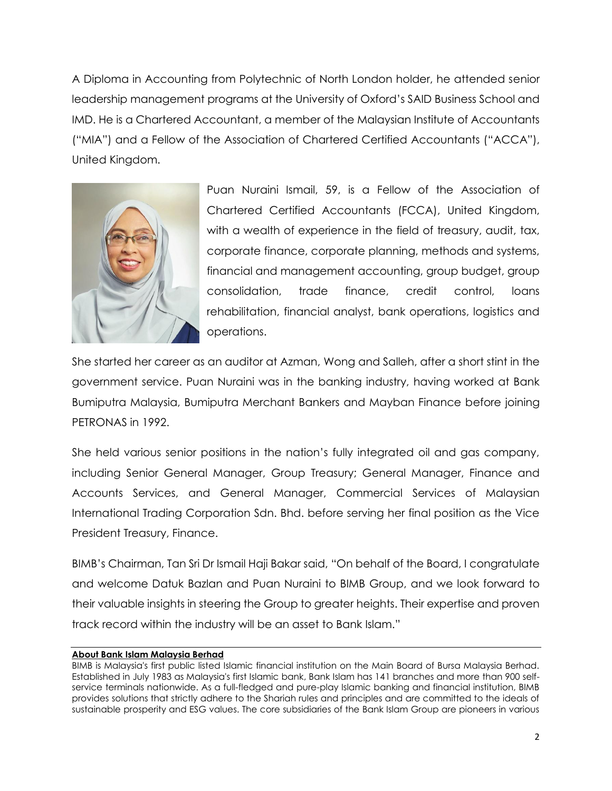A Diploma in Accounting from Polytechnic of North London holder, he attended senior leadership management programs at the University of Oxford's SAID Business School and IMD. He is a Chartered Accountant, a member of the Malaysian Institute of Accountants ("MIA") and a Fellow of the Association of Chartered Certified Accountants ("ACCA"), United Kingdom.



Puan Nuraini Ismail, 59, is a Fellow of the Association of Chartered Certified Accountants (FCCA), United Kingdom, with a wealth of experience in the field of treasury, audit, tax, corporate finance, corporate planning, methods and systems, financial and management accounting, group budget, group consolidation, trade finance, credit control, loans rehabilitation, financial analyst, bank operations, logistics and operations.

She started her career as an auditor at Azman, Wong and Salleh, after a short stint in the government service. Puan Nuraini was in the banking industry, having worked at Bank Bumiputra Malaysia, Bumiputra Merchant Bankers and Mayban Finance before joining PETRONAS in 1992.

She held various senior positions in the nation's fully integrated oil and gas company, including Senior General Manager, Group Treasury; General Manager, Finance and Accounts Services, and General Manager, Commercial Services of Malaysian International Trading Corporation Sdn. Bhd. before serving her final position as the Vice President Treasury, Finance.

BIMB's Chairman, Tan Sri Dr Ismail Haji Bakar said, "On behalf of the Board, I congratulate and welcome Datuk Bazlan and Puan Nuraini to BIMB Group, and we look forward to their valuable insights in steering the Group to greater heights. Their expertise and proven track record within the industry will be an asset to Bank Islam."

## **About Bank Islam Malaysia Berhad**

BIMB is Malaysia's first public listed Islamic financial institution on the Main Board of Bursa Malaysia Berhad. Established in July 1983 as Malaysia's first Islamic bank, Bank Islam has 141 branches and more than 900 selfservice terminals nationwide. As a full-fledged and pure-play Islamic banking and financial institution, BIMB provides solutions that strictly adhere to the Shariah rules and principles and are committed to the ideals of sustainable prosperity and ESG values. The core subsidiaries of the Bank Islam Group are pioneers in various